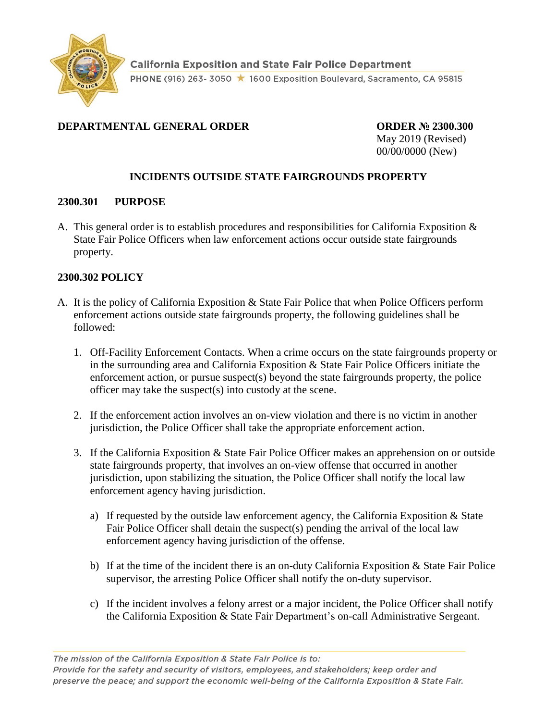

# **DEPARTMENTAL GENERAL ORDER ORDER № 2300.300**

May 2019 (Revised) 00/00/0000 (New)

## **INCIDENTS OUTSIDE STATE FAIRGROUNDS PROPERTY**

### **2300.301 PURPOSE**

A. This general order is to establish procedures and responsibilities for California Exposition & State Fair Police Officers when law enforcement actions occur outside state fairgrounds property.

#### **2300.302 POLICY**

- A. It is the policy of California Exposition & State Fair Police that when Police Officers perform enforcement actions outside state fairgrounds property, the following guidelines shall be followed:
	- 1. Off-Facility Enforcement Contacts. When a crime occurs on the state fairgrounds property or in the surrounding area and California Exposition & State Fair Police Officers initiate the enforcement action, or pursue suspect(s) beyond the state fairgrounds property, the police officer may take the suspect(s) into custody at the scene.
	- 2. If the enforcement action involves an on-view violation and there is no victim in another jurisdiction, the Police Officer shall take the appropriate enforcement action.
	- 3. If the California Exposition & State Fair Police Officer makes an apprehension on or outside state fairgrounds property, that involves an on-view offense that occurred in another jurisdiction, upon stabilizing the situation, the Police Officer shall notify the local law enforcement agency having jurisdiction.
		- a) If requested by the outside law enforcement agency, the California Exposition & State Fair Police Officer shall detain the suspect(s) pending the arrival of the local law enforcement agency having jurisdiction of the offense.
		- b) If at the time of the incident there is an on-duty California Exposition & State Fair Police supervisor, the arresting Police Officer shall notify the on-duty supervisor.
		- c) If the incident involves a felony arrest or a major incident, the Police Officer shall notify the California Exposition & State Fair Department's on-call Administrative Sergeant.